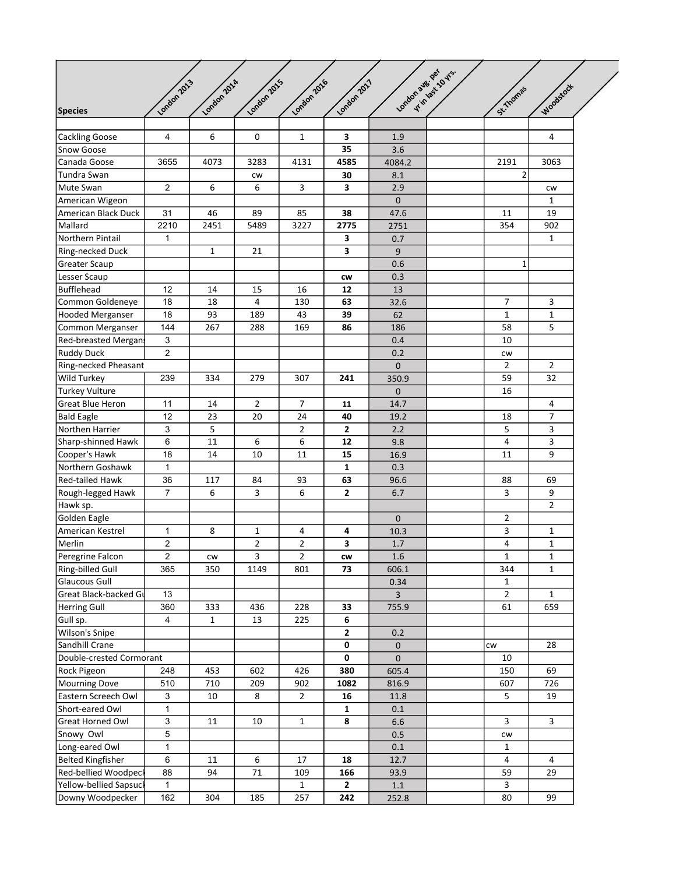| <b>Species</b>             | London 2013    | London 2014      | London 2015    | London 2016    | London 2017     | London ave. per     | V TIMBS 10 VIS. | St. Thomas     | <b>Moodstock</b> |  |
|----------------------------|----------------|------------------|----------------|----------------|-----------------|---------------------|-----------------|----------------|------------------|--|
|                            |                |                  |                |                |                 |                     |                 |                |                  |  |
| Cackling Goose             | $\overline{4}$ | $\boldsymbol{6}$ | 0              | $\mathbf{1}$   | 3               | $1.9\,$             |                 |                | 4                |  |
| Snow Goose                 |                |                  |                |                | $\overline{35}$ | 3.6                 |                 |                |                  |  |
| Canada Goose               | 3655           | 4073             | 3283           | 4131           | 4585            | 4084.2              |                 | 2191           | 3063             |  |
| Tundra Swan                |                |                  | CW             |                | 30              | 8.1                 |                 | 2              |                  |  |
| Mute Swan                  | $\overline{2}$ | 6                | 6              | 3              | 3               | 2.9                 |                 |                | <b>CW</b>        |  |
| American Wigeon            |                |                  |                |                |                 | $\mathbf{0}$        |                 |                | $\mathbf{1}$     |  |
| American Black Duck        | 31             | 46               | 89             | 85             | 38              | 47.6                |                 | 11             | 19               |  |
| Mallard                    | 2210           | 2451             | 5489           | 3227           | 2775            | 2751                |                 | 354            | 902              |  |
| Northern Pintail           | $\mathbf 1$    |                  |                |                | 3               | 0.7                 |                 |                | $\mathbf{1}$     |  |
| Ring-necked Duck           |                | $\mathbf{1}$     | 21             |                | 3               | $\boldsymbol{9}$    |                 |                |                  |  |
| Greater Scaup              |                |                  |                |                |                 | 0.6                 |                 | 1              |                  |  |
| Lesser Scaup               |                |                  |                |                | CW              | 0.3                 |                 |                |                  |  |
| Bufflehead                 | 12             | 14               | 15             | 16             | 12              | 13                  |                 |                |                  |  |
| Common Goldeneye           | 18             | 18               | 4              | 130            | 63              | 32.6                |                 | $\overline{7}$ | 3                |  |
| Hooded Merganser           | 18             | 93               | 189            | 43             | 39              | 62                  |                 | $\mathbf{1}$   | $\mathbf 1$      |  |
| Common Merganser           | 144            | 267              | 288            | 169            | 86              | 186                 |                 | 58             | $\overline{5}$   |  |
| <b>Red-breasted Mergan</b> | $\mathbf{3}$   |                  |                |                |                 | 0.4                 |                 | 10             |                  |  |
| Ruddy Duck                 | $\overline{2}$ |                  |                |                |                 | 0.2                 |                 | CW             |                  |  |
| Ring-necked Pheasant       |                |                  |                |                |                 | $\mathbf 0$         |                 | $\overline{2}$ | $\overline{2}$   |  |
| Wild Turkey                | 239            | 334              | 279            | 307            | 241             | 350.9               |                 | 59             | 32               |  |
| Turkey Vulture             |                |                  |                |                |                 | $\mathbf 0$         |                 | 16             |                  |  |
| Great Blue Heron           | 11             | 14               | $\overline{2}$ | $\overline{7}$ | 11              | 14.7                |                 |                | 4                |  |
| <b>Bald Eagle</b>          | 12             | 23               | 20             | 24             | 40              | 19.2                |                 | 18             | $\overline{7}$   |  |
| Northen Harrier            | $\mathbf{3}$   | 5                |                | $\overline{2}$ | $\overline{2}$  | 2.2                 |                 | 5              | 3                |  |
| Sharp-shinned Hawk         | $\,6$          | 11               | 6              | 6              | 12              | 9.8                 |                 | $\overline{4}$ | 3                |  |
| Cooper's Hawk              | 18             | 14               | 10             | 11             | 15              | 16.9                |                 | 11             | 9                |  |
| Northern Goshawk           | $\mathbf{1}$   |                  |                |                | $\mathbf{1}$    | 0.3                 |                 |                |                  |  |
| Red-tailed Hawk            | 36             | 117              | 84             | 93             | 63              | 96.6                |                 | 88             | 69               |  |
| Rough-legged Hawk          | $\overline{7}$ | 6                | 3              | 6              | $\mathbf{2}$    | 6.7                 |                 | 3              | 9                |  |
| Hawk sp.                   |                |                  |                |                |                 |                     |                 |                | $\overline{2}$   |  |
| Golden Eagle               |                |                  |                |                |                 | $\mathbf 0$         |                 | $\mathbf{2}$   |                  |  |
| American Kestrel           | $\mathbf{1}$   | 8                | $\mathbf{1}$   | $\overline{4}$ | 4               | 10.3                |                 | 3              | $\mathbf{1}$     |  |
| Merlin                     | $\mathbf 2$    |                  | $\overline{2}$ | $\overline{2}$ | 3               | $1.7\,$             |                 | 4              | $\mathbf{1}$     |  |
| Peregrine Falcon           | $\overline{2}$ | <b>CW</b>        | 3              | $\overline{2}$ | CW              | $1.6\,$             |                 | $\mathbf{1}$   | $\mathbf{1}$     |  |
| Ring-billed Gull           | 365            | 350              | 1149           | 801            | 73              | 606.1               |                 | 344            | $\mathbf{1}$     |  |
| Glaucous Gull              |                |                  |                |                |                 | 0.34                |                 | $\mathbf{1}$   |                  |  |
| Great Black-backed Gu      | 13             |                  |                |                |                 | $\overline{3}$      |                 | $\overline{2}$ | $\mathbf{1}$     |  |
| Herring Gull               | 360            | 333              | 436            | 228            | 33              | 755.9               |                 | 61             | 659              |  |
| Gull sp.                   | 4              | $\mathbf{1}$     | 13             | 225            | 6               |                     |                 |                |                  |  |
| Wilson's Snipe             |                |                  |                |                | $\mathbf{2}$    | 0.2                 |                 |                |                  |  |
| Sandhill Crane             |                |                  |                |                | 0               | $\mathsf{O}\xspace$ |                 | cw             | 28               |  |
| Double-crested Cormorant   |                |                  |                |                | 0               | $\pmb{0}$           |                 | 10             |                  |  |
| Rock Pigeon                | 248            | 453              | 602            | 426            | 380             | 605.4               |                 | 150            | 69               |  |
| Mourning Dove              | 510            | 710              | 209            | 902            | 1082            | 816.9               |                 | 607            | 726              |  |
| Eastern Screech Owl        | $\mathbf{3}$   | 10               | 8              | $\overline{2}$ | ${\bf 16}$      | 11.8                |                 | 5              | 19               |  |
| Short-eared Owl            | $\mathbf{1}$   |                  |                |                | $\mathbf{1}$    | 0.1                 |                 |                |                  |  |
| <b>Great Horned Owl</b>    | $\mathbf{3}$   | 11               | 10             | $\mathbf{1}$   | 8               | $6.6\,$             |                 | 3              | 3                |  |
| Snowy Owl                  | 5              |                  |                |                |                 | $0.5\,$             |                 | CW             |                  |  |
| Long-eared Owl             | $\mathbf{1}$   |                  |                |                |                 | 0.1                 |                 | $\mathbf{1}$   |                  |  |
| Belted Kingfisher          | 6              | 11               | 6              | 17             | 18              | 12.7                |                 | $\overline{4}$ | 4                |  |
| Red-bellied Woodpeck       | 88             | 94               | $71\,$         | 109            | 166             | 93.9                |                 | 59             | 29               |  |
| Yellow-bellied Sapsuck     | $\mathbf{1}$   |                  |                | $\mathbf{1}$   | $\mathbf{2}$    | $1.1\,$             |                 | $\mathbf{3}$   |                  |  |
| Downy Woodpecker           | 162            | 304              | 185            | 257            | 242             | 252.8               |                 | 80             | 99               |  |
|                            |                |                  |                |                |                 |                     |                 |                |                  |  |